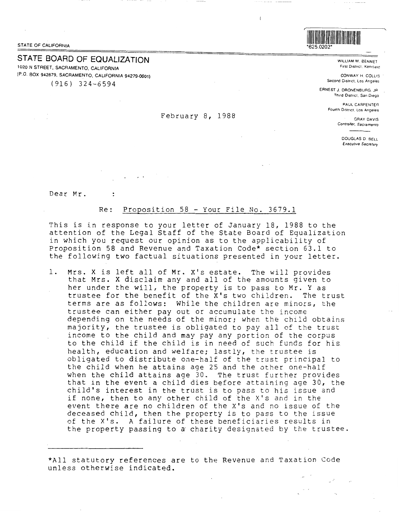\*625.0202\* STATE OF CALIFORNIA

# STATE BOARD OF EQUALIZATION 1020 N STREET, SACRAMENTO. CALIFORNIA

(P.O. BOX 942879, SACRAMENTO, CALIFORNIA 94279-0001) (916) 324-6594

### February 8, 1988

625.0202

WILLIAM M. BENNET First District. Kentfield

CONWAY H. COLLIS Second District, Los Angeles

ERNESTJ.DRONENBURG,JR Third District, San Diego

> PAUL CARPENTER Fourth D1stnc1, Los Angeles

GRAY DAVIS Controller. Sacramento

> DOUGLAS D. BELL *Executrve Secretary*

Dear Mr.

 $\ddot{\phantom{a}}$ 

## Re: Proposition 58 - Your File No. 3679.1

This is in response to your letter of January 18, 1988 to the attention of the Legal Staff of the State Board of Equalization in which you request our opinion as to the applicability of Proposition 58 and Revenue and Taxation Code\* section 63.1 to the following two factual situations presented in your letter.

1. Mrs. X is left all of Mr. X's estate. The will provides that Mrs. X disclaim any and all of the amounts given to her under the will, the property is to pass to Mr. Y as trustee for the benefit of the X's two children. The trust terms are as follows: While the children are minors, the trustee can either pay out or accumulate the income depending on the needs of the minor; when the child obtains majority, the trustee is obligated to pay all of the trust income to the child and may pay any portion of the corpus to the child if the child is in need of such funds for his health, education and welfare; lastly, the trustee is obligated to distribute one-half of the trust principal to the child when he attains age 25 and the other one-half when the child attains age 30. The trust further provides that in the event a child dies before attaining age 30, the child's interest in the trust is to pass to his issue and if none, then to any other child of the X's and in the event there are no children of the X's and no issue of the deceased child, then the property is to pass to the issue of the X's. A failure of these beneficiaries results in the property passing to a charity designated by the trustee.

\*All statutory references are to the Revenue and Taxation Code unless otherwise indicated.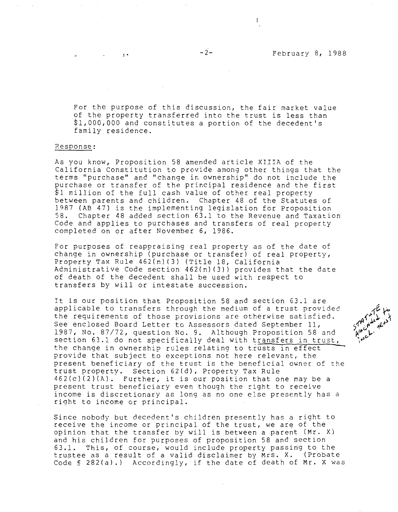For the purpose of this discussion, the fair market value of the property transferred into the trust is less than \$1,000,000 and constitutes a portion of the decedent's family residence.

### Response:

As you know, Proposition 58 amended article XIIIA of the California Constitution to provide among other things that the terms "purchase" and "change in ownership" do not include the purchase or transfer of the principal residence and the first \$1 million of the full cash value of other real property between parents and children. Chapter 48 of the Statutes of 1987 (AB 47) is the implementing legislation for Proposition<br>58. Chapter 48 added section 63.1 to the Revenue and Taxation Chapter 48 added section  $63.1$  to the Revenue and Taxation Code and applies to purchases and transfers of real property completed on or after November 6, 1986.

For purposes of reappraising real property as of the date of change in ownership (purchase or transfer) of real property, Property Tax Rule 462(n) (3) (Title 18, California Administrative Code section 462(n)(3)) provides that the date of death of the decedent shall be used with respect to transfers by will or intestate succession.

It is our position that Proposition 58 and section 63.1 are applicable to transfers through the medium of a trust provided the requirements of those provisions are otherwise satisfied. See enclosed Board Letter to Assessors dated September 11, 1987, No. 87/72, question No. 9. Although Proposition 58 and section 63.l do not specifically deal with transfers in trust, the change in ownership rules relating to trusts in effect provide that subject to exceptions not here relevant, the present beneficiary of the trust is the beneficial owner of the trust property. Section 62(d), Property Tax Rule  $462(c)(2)(A)$ . Further, it is our position that one may be a present trust beneficiary even though the right to receive income is discretionary as long as no one else presently has a right to income or principal.

Since nobody but decedent's children presently has a right to receive the income or principal of the trust, we are of the opinion that the transfer by will is between a parent **(Mr. X)**  and his children for purposes of proposition 58 and section 63.1. This, of course, would include property passing to the trustee as a result of a valid disclaimer by Mrs. X. (Probate Code§ 282(a).) Accordingly, if the date of death of **Mr. X** was



 $\mathbf{f}$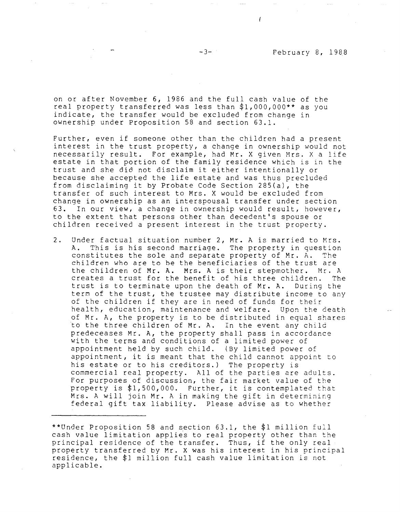on or after November 6, 1986 and the full cash value of the real property transferred was less than \$1,000,000\*\* as you indicate, the transfer would be excluded from change in ownership under Proposition 58 and section 63.1.

Further, even if someone other than the children had a present interest in the trust property, a change in ownership would not necessarily result. For example, had Mr. X given Mrs. X a life estate in that portion of the family residence which is in the trust and she did not disclaim it either intentionally or because she accepted the life estate and was thus precluded from disclaiming it by Probate Code Section 285(a), the transfer of such interest to Mrs. X would be excluded from change in ownership as an interspousal transfer under section 63. In our view, a change in ownership would result, however, to the extent that persons other than decedent's spouse or children received a present interest in the trust property.

2. Under factual situation number 2, Mr. A is married to Mrs. A. This is his second marriage. The property in question constitutes the sole and separate property of Mr.  $A$ . The children who are to be the beneficiaries of the trust are the children of Mr. A. Mrs. A is their stepmother. Mr. A creates a trust for the benefit of his three children. The trust is to terminate upon the death of Mr. A. During the term of the trust, the trustee may distribute income to any of the children if they are in need of funds for their health, education, maintenance and welfare. Upon the death of Mr. A, the property is to be distributed in equal shares to the three children of **Mr. A.** In the event any child predeceases Mr. A, the property shall pass in accordance with the terms and conditions of a limited power of appointment held by such child. (By limited power of appointment, it is meant that the child cannot appoint to his estate or to his creditors.) The property is commercial real property. All of the parties are adults. For purposes of discussion, the fair market value of the property is \$1,500,000. Further, it is contemplated that Mrs. A will join Mr. A in making the gift in determining federal gift tax liability. Please advise as to whether

<sup>\*\*</sup>Under Proposition 58 and section 63.1, the \$1 million full cash value limitation applies to real property other than the principal residence of the transfer. Thus, if the only real property transferred by Mr. X was his interest in his principal residence, the \$1 million full cash value limitation is not applicable.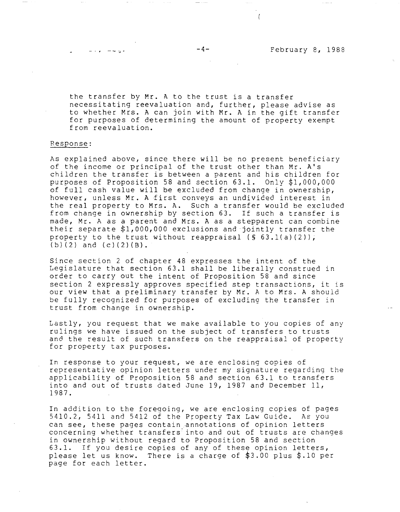the transfer by Mr. A to the trust is a transfer necessitating reevaluation and, further, please advise as to whether Mrs. A can join with Mr. A in the gift transfer for purposes of determining the amount of property exempt from reevaluation.

#### Response:

As explained above, since there will be no present beneficiary of the income or principal of the trust other than Mr. A's children the transfer is between a parent and his children for purposes of Proposition 58 and section 63.1. Only \$1,000,000 of full cash value will be excluded from change in ownership, however, unless Mr. A first conveys an undivided interest in the real property to Mrs. A. Such a transfer would be excluded from change in ownership by section 63. If such a transfer is made, Mr. A as a parent and Mrs. A as a stepparent can combine their separate \$1,000,000 exclusions and jointly transfer the property to the trust without reappraisal  $(S 63.1(a)(2))$ ,  $(b)(2)$  and  $(c)(2)(B)$ .

Since section 2 of chapter 48 expresses the intent of the Legislature that section 63.1 shall be liberally construed in order to carry out the intent of Proposition 58 and since section 2 expressly approves specified step transactions, it is our view that a preliminary transfer by Mr. A to Mrs. A should be fully recognized for purposes of excluding the transfer in trust from change in ownership.

Lastly, you request that we make available to you copies of any rulings we have issued on the subject of transfers to trusts and the result of such transfers on the reappraisal of property for property tax purposes.

In response to your request, we are enclosing copies of representative opinion letters under my signature regarding the applicability of Proposition 58 and section 63.1 to transfers into and out of trusts dated June 19, 1987 and December 11, 1987.

In addition to the foregoing, we are enclosing copies of pages 5410.2, 5411 and 5412 of the Property Tax Law Guide. As you can see, these pages contain annotations of opinion letters concerning whether transfers· into and out of trusts are changes in ownership without regard to Proposition 58 and section 63.1. If you desire copies of any of these opinion letters, please let us know. There is a charge of \$3.00 plus \$.10 per page for each letter.